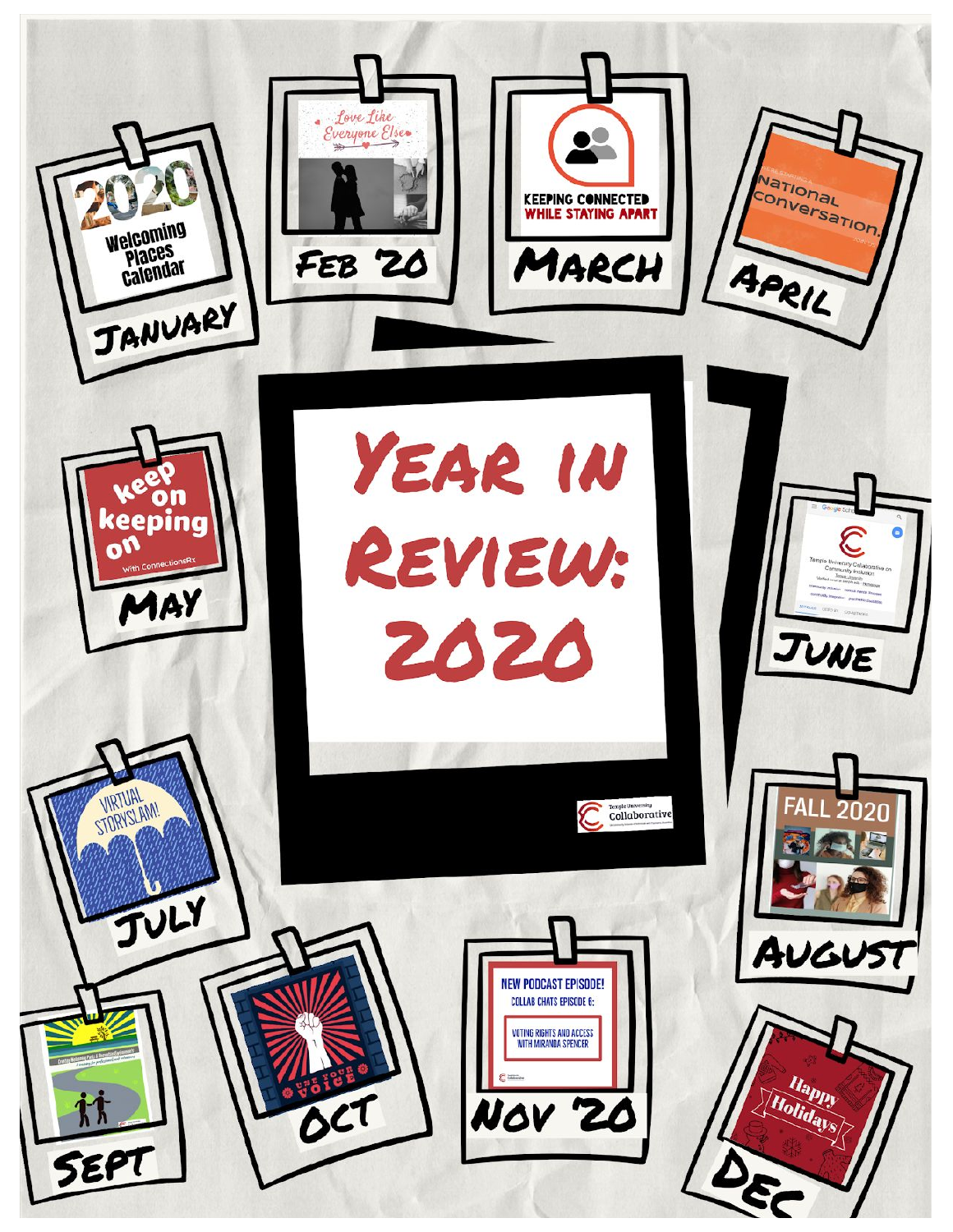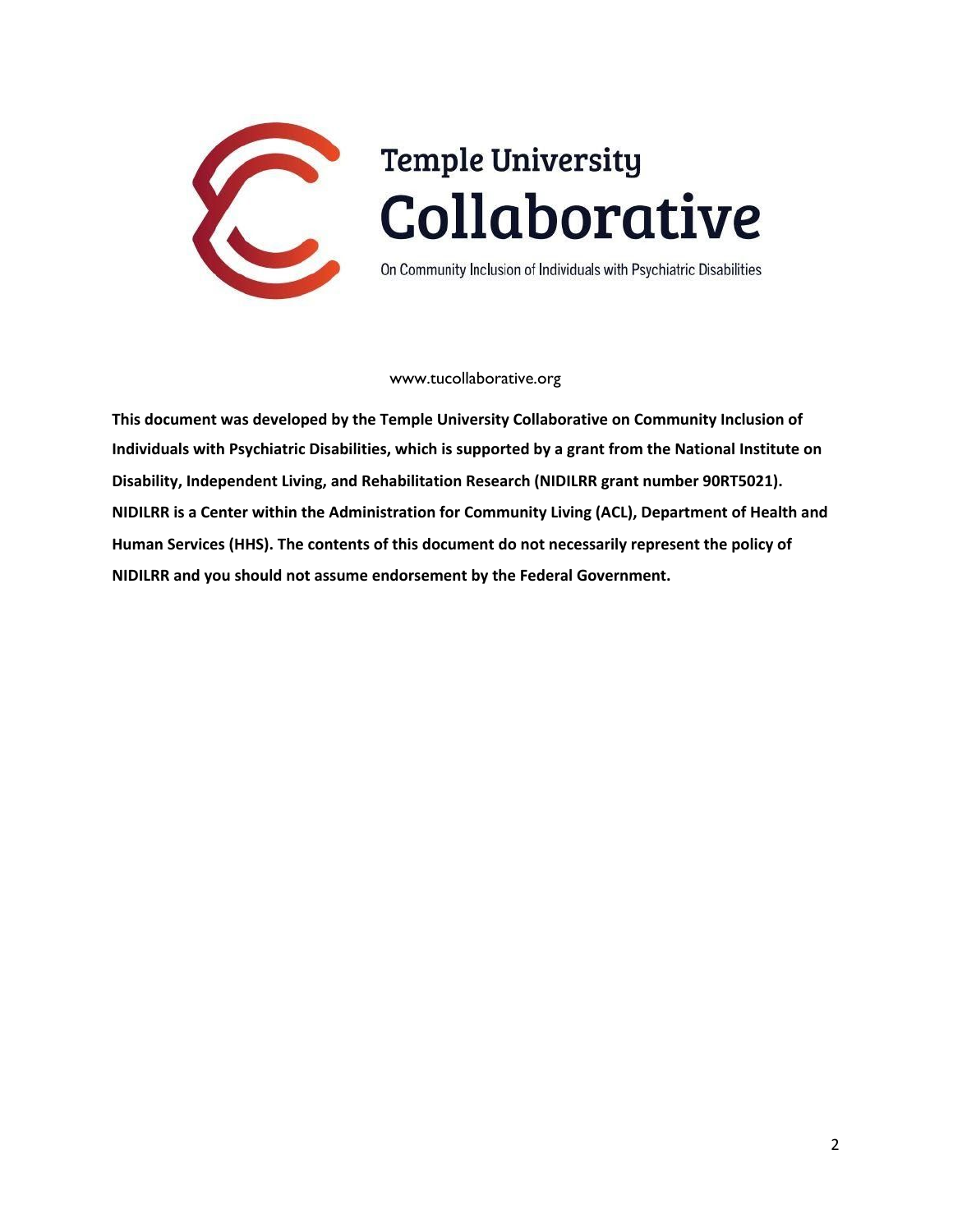

# **Temple University** Collaborative

On Community Inclusion of Individuals with Psychiatric Disabilities

#### www.tucollaborative.org

**This document was developed by the Temple University Collaborative on Community Inclusion of Individuals with Psychiatric Disabilities, which is supported by a grant from the National Institute on Disability, Independent Living, and Rehabilitation Research (NIDILRR grant number 90RT5021). NIDILRR is a Center within the Administration for Community Living (ACL), Department of Health and Human Services (HHS). The contents of this document do not necessarily represent the policy of NIDILRR and you should not assume endorsement by the Federal Government.**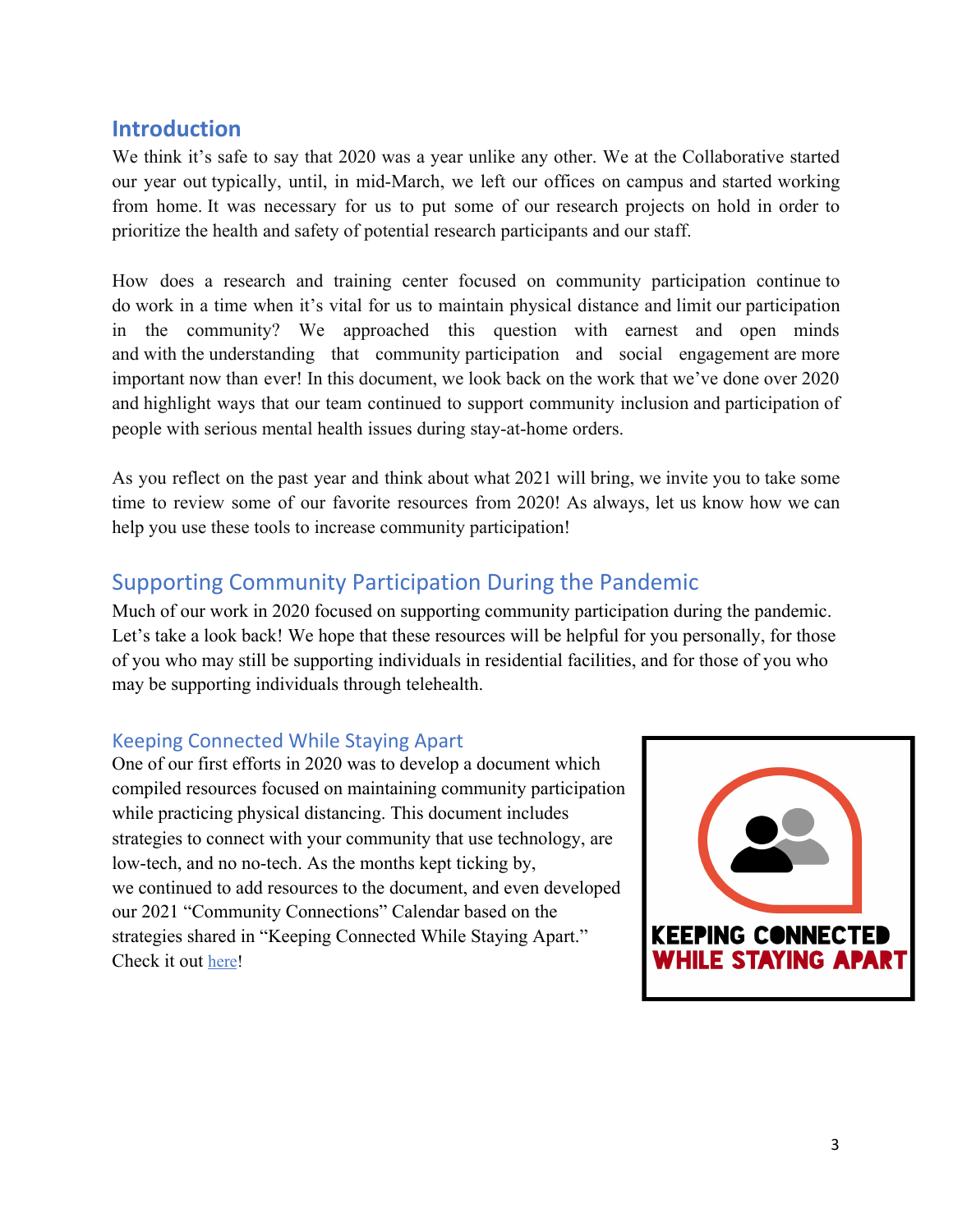# **Introduction**

We think it's safe to say that 2020 was a year unlike any other. We at the Collaborative started our year out typically, until, in mid-March, we left our offices on campus and started working from home. It was necessary for us to put some of our research projects on hold in order to prioritize the health and safety of potential research participants and our staff.

How does a research and training center focused on community participation continue to do work in a time when it's vital for us to maintain physical distance and limit our participation in the community? We approached this question with earnest and open minds and with the understanding that community participation and social engagement are more important now than ever! In this document, we look back on the work that we've done over 2020 and highlight ways that our team continued to support community inclusion and participation of people with serious mental health issues during stay-at-home orders.

As you reflect on the past year and think about what 2021 will bring, we invite you to take some time to review some of our favorite resources from 2020! As always, let us know how we can help you use these tools to increase community participation!

# Supporting Community Participation During the Pandemic

Much of our work in 2020 focused on supporting community participation during the pandemic. Let's take a look back! We hope that these resources will be helpful for you personally, for those of you who may still be supporting individuals in residential facilities, and for those of you who may be supporting individuals through telehealth.

#### Keeping Connected While Staying Apart

One of our first efforts in 2020 was to develop a document which compiled resources focused on maintaining community participation while practicing physical distancing. This document includes strategies to connect with your community that use technology, are low-tech, and no no-tech. As the months kept ticking by, we continued to add resources to the document, and even developed our 2021 "Community Connections" Calendar based on the strategies shared in "Keeping Connected While Staying Apart." Check it out [here](http://www.tucollaborative.org/wp-content/uploads/Resources-for-Remote-Community-Participation.pdf)!

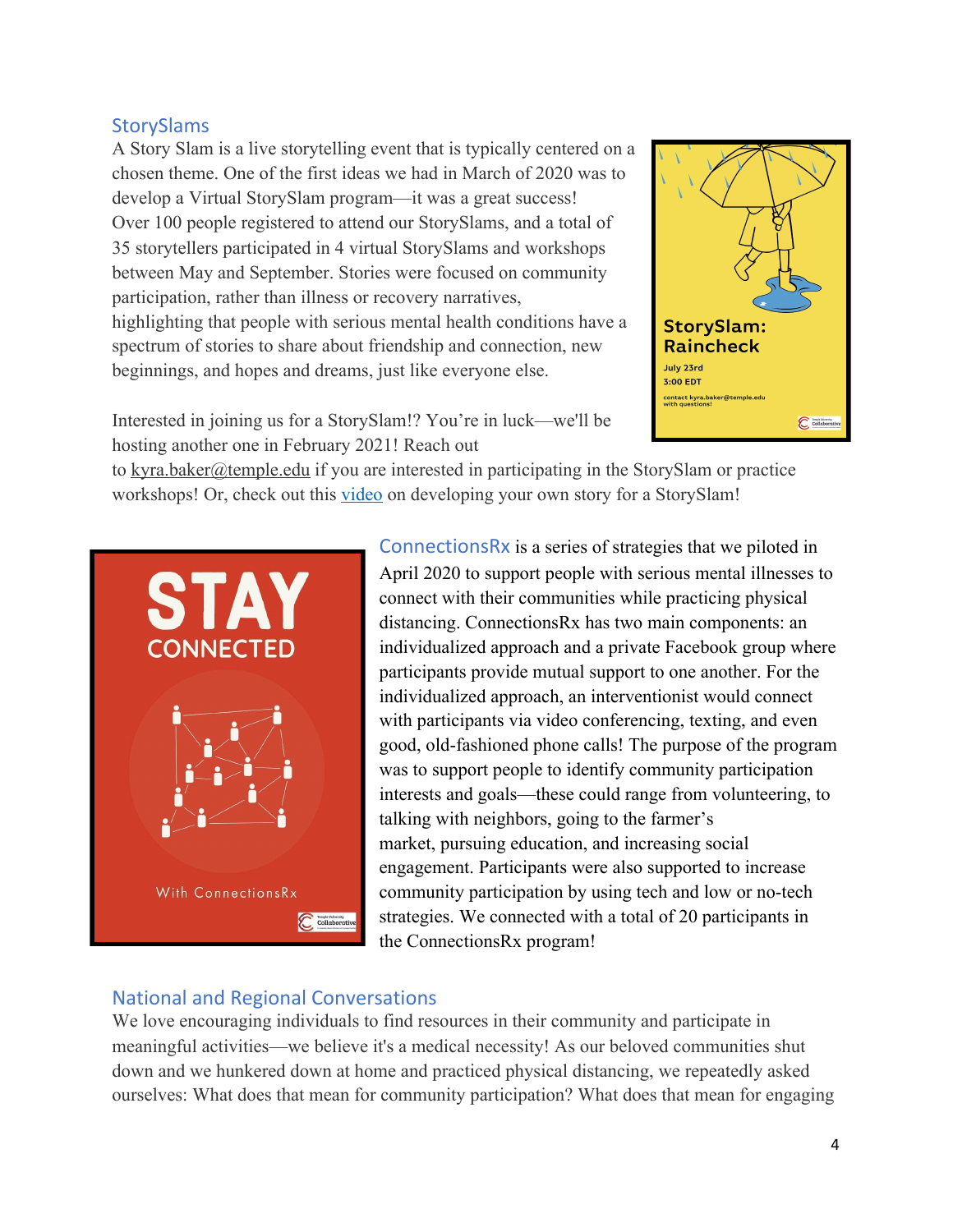#### **StorySlams**

A Story Slam is a live storytelling event that is typically centered on a chosen theme. One of the first ideas we had in March of 2020 was to develop a Virtual StorySlam program—it was a great success! Over 100 people registered to attend our StorySlams, and a total of 35 storytellers participated in 4 virtual StorySlams and workshops between May and September. Stories were focused on community participation, rather than illness or recovery narratives, highlighting that people with serious mental health conditions have a spectrum of stories to share about friendship and connection, new beginnings, and hopes and dreams, just like everyone else.



Interested in joining us for a StorySlam!? You're in luck—we'll be hosting another one in February 2021! Reach out

to [kyra.baker@temple.edu](mailto:kyra.baker@temple.edu) if you are interested in participating in the StorySlam or practice workshops! Or, check out this *video* on developing your own story for a StorySlam!



ConnectionsRx is a series of strategies that we piloted in April 2020 to support people with serious mental illnesses to connect with their communities while practicing physical distancing. ConnectionsRx has two main components: an individualized approach and a private Facebook group where participants provide mutual support to one another. For the individualized approach, an interventionist would connect with participants via video conferencing, texting, and even good, old-fashioned phone calls! The purpose of the program was to support people to identify community participation interests and goals—these could range from volunteering, to talking with neighbors, going to the farmer's market, pursuing education, and increasing social engagement. Participants were also supported to increase community participation by using tech and low or no-tech strategies. We connected with a total of 20 participants in the ConnectionsRx program!

#### National and Regional Conversations

We love encouraging individuals to find resources in their community and participate in meaningful activities—we believe it's a medical necessity! As our beloved communities shut down and we hunkered down at home and practiced physical distancing, we repeatedly asked ourselves: What does that mean for community participation? What does that mean for engaging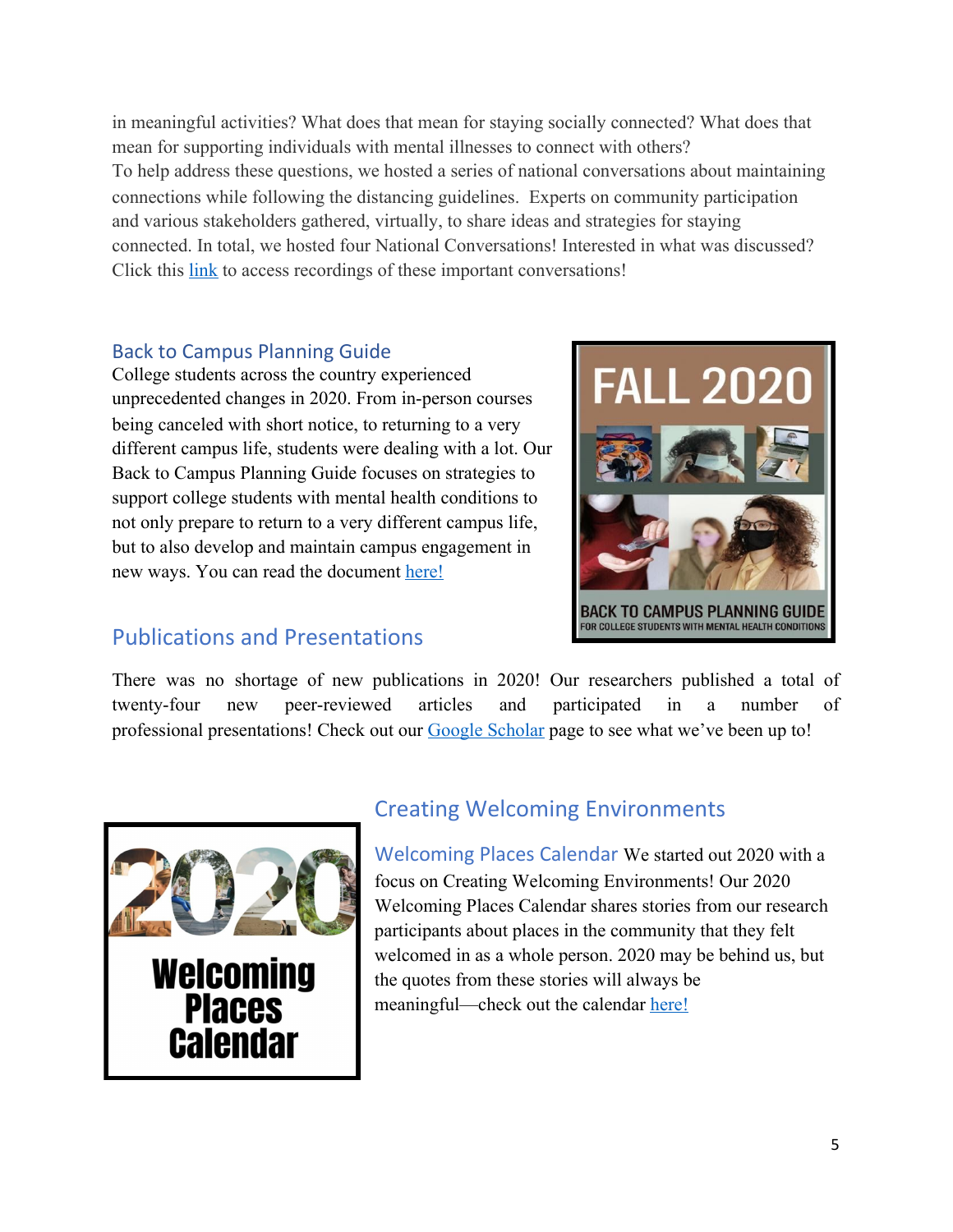in meaningful activities? What does that mean for staying socially connected? What does that mean for supporting individuals with mental illnesses to connect with others? To help address these questions, we hosted a series of national conversations about maintaining connections while following the distancing guidelines. Experts on community participation and various stakeholders gathered, virtually, to share ideas and strategies for staying connected. In total, we hosted four National Conversations! Interested in what was discussed? Click this [link](http://www.tucollaborative.org/keeping-connected-while-staying-apart/) to access recordings of these important conversations!

#### Back to Campus Planning Guide

College students across the country experienced unprecedented changes in 2020. From in-person courses being canceled with short notice, to returning to a very different campus life, students were dealing with a lot. Our Back to Campus Planning Guide focuses on strategies to support college students with mental health conditions to not only prepare to return to a very different campus life, but to also develop and maintain campus engagement in new ways. You can read the document [here!](http://www.tucollaborative.org/wp-content/uploads/FINAL-KBAKER-FALL-2020-EDUCATION-KT-DOCUMENT.pdf)



#### Publications and Presentations

There was no shortage of new publications in 2020! Our researchers published a total of twenty-four new peer-reviewed articles and participated in a number of professional presentations! Check out our [Google Scholar](https://scholar.google.com/citations?user=GDSj3FAAAAAJ&hl=en) page to see what we've been up to!



# Creating Welcoming Environments

Welcoming Places Calendar We started out 2020 with a focus on Creating Welcoming Environments! Our 2020 Welcoming Places Calendar shares stories from our research participants about places in the community that they felt welcomed in as a whole person. 2020 may be behind us, but the quotes from these stories will always be meaningful—check out the calendar [here!](http://www.tucollaborative.org/wp-content/uploads/calendarfinal.pdf)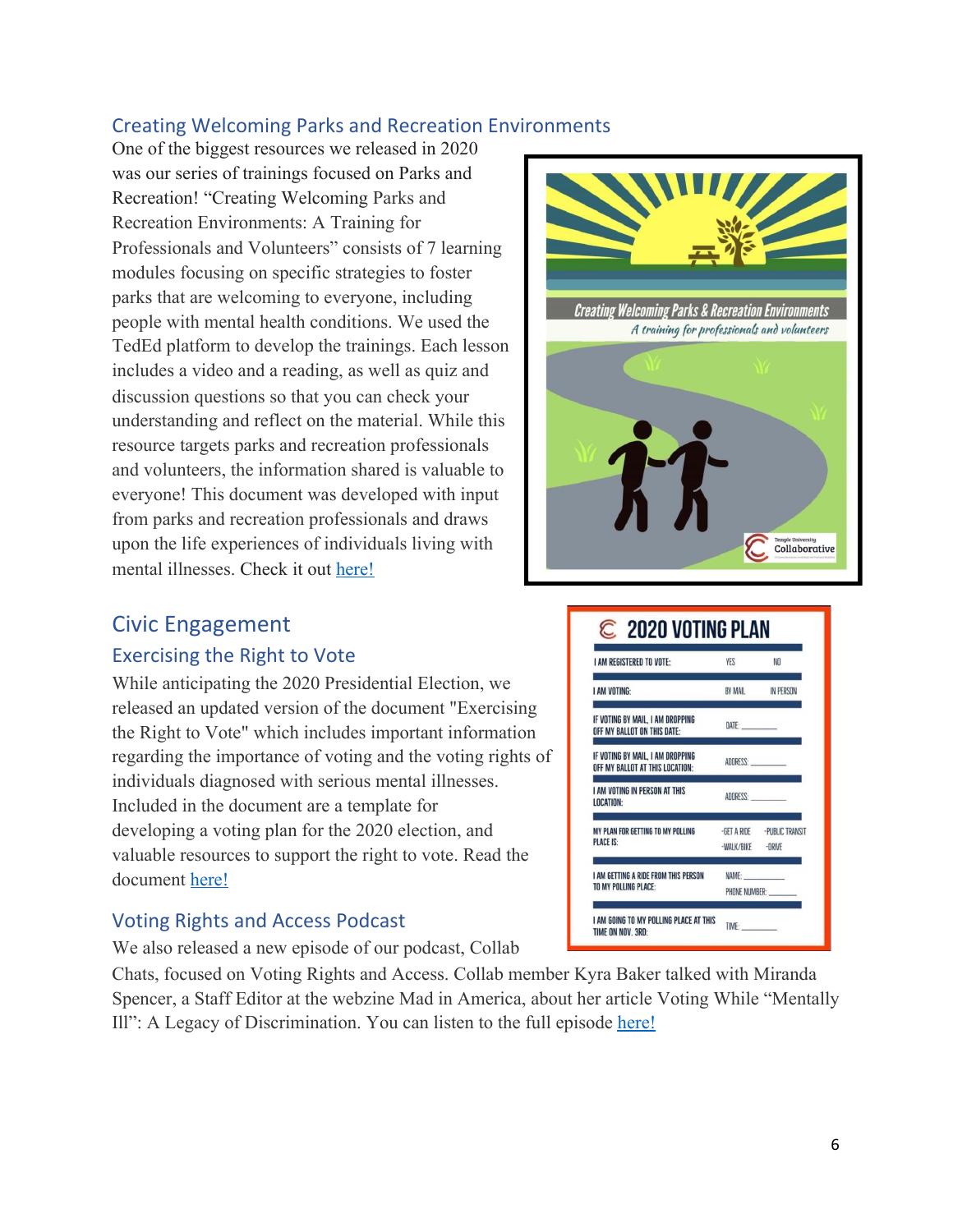### Creating Welcoming Parks and Recreation Environments

One of the biggest resources we released in 2020 was our series of trainings focused on Parks and Recreation! "Creating Welcoming Parks and Recreation Environments: A Training for Professionals and Volunteers" consists of 7 learning modules focusing on specific strategies to foster parks that are welcoming to everyone, including people with mental health conditions. We used the TedEd platform to develop the trainings. Each lesson includes a video and a reading, as well as quiz and discussion questions so that you can check your understanding and reflect on the material. While this resource targets parks and recreation professionals and volunteers, the information shared is valuable to everyone! This document was developed with input from parks and recreation professionals and draws upon the life experiences of individuals living with mental illnesses. Check it out [here!](http://www.tucollaborative.org/wp-content/uploads/Creating-Welcoming-Park-Environments_FINAL_COMPILED.pdf)



# Civic Engagement

#### Exercising the Right to Vote

While anticipating the 2020 Presidential Election, we released an updated version of the document "Exercising the Right to Vote" which includes important information regarding the importance of voting and the voting rights of individuals diagnosed with serious mental illnesses. Included in the document are a template for developing a voting plan for the 2020 election, and valuable resources to support the right to vote. Read the document [here!](http://www.tucollaborative.org/wp-content/uploads/Voting-Document_10_20_2020_V3.pdf)

#### Voting Rights and Access Podcast

We also released a new episode of our podcast, Collab

Chats, focused on Voting Rights and Access. Collab member Kyra Baker talked with Miranda Spencer, a Staff Editor at the webzine Mad in America, about her article Voting While "Mentally Ill": A Legacy of Discrimination. You can listen to the full episode [here!](https://youtu.be/5T-yRyEvsJc)